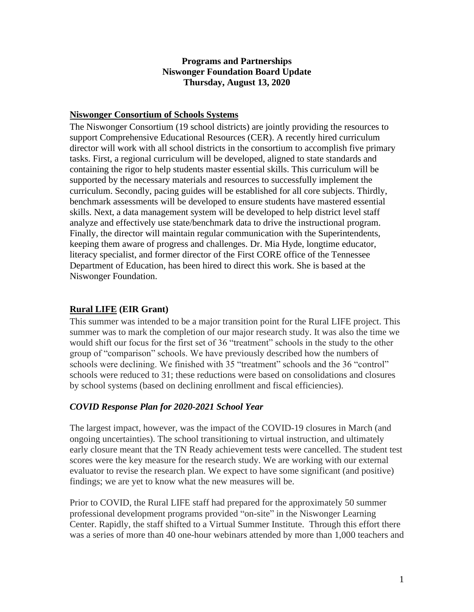#### **Programs and Partnerships Niswonger Foundation Board Update Thursday, August 13, 2020**

#### **Niswonger Consortium of Schools Systems**

The Niswonger Consortium (19 school districts) are jointly providing the resources to support Comprehensive Educational Resources (CER). A recently hired curriculum director will work with all school districts in the consortium to accomplish five primary tasks. First, a regional curriculum will be developed, aligned to state standards and containing the rigor to help students master essential skills. This curriculum will be supported by the necessary materials and resources to successfully implement the curriculum. Secondly, pacing guides will be established for all core subjects. Thirdly, benchmark assessments will be developed to ensure students have mastered essential skills. Next, a data management system will be developed to help district level staff analyze and effectively use state/benchmark data to drive the instructional program. Finally, the director will maintain regular communication with the Superintendents, keeping them aware of progress and challenges. Dr. Mia Hyde, longtime educator, literacy specialist, and former director of the First CORE office of the Tennessee Department of Education, has been hired to direct this work. She is based at the Niswonger Foundation.

### **Rural LIFE (EIR Grant)**

This summer was intended to be a major transition point for the Rural LIFE project. This summer was to mark the completion of our major research study. It was also the time we would shift our focus for the first set of 36 "treatment" schools in the study to the other group of "comparison" schools. We have previously described how the numbers of schools were declining. We finished with 35 "treatment" schools and the 36 "control" schools were reduced to 31; these reductions were based on consolidations and closures by school systems (based on declining enrollment and fiscal efficiencies).

### *COVID Response Plan for 2020-2021 School Year*

The largest impact, however, was the impact of the COVID-19 closures in March (and ongoing uncertainties). The school transitioning to virtual instruction, and ultimately early closure meant that the TN Ready achievement tests were cancelled. The student test scores were the key measure for the research study. We are working with our external evaluator to revise the research plan. We expect to have some significant (and positive) findings; we are yet to know what the new measures will be.

Prior to COVID, the Rural LIFE staff had prepared for the approximately 50 summer professional development programs provided "on-site" in the Niswonger Learning Center. Rapidly, the staff shifted to a Virtual Summer Institute. Through this effort there was a series of more than 40 one-hour webinars attended by more than 1,000 teachers and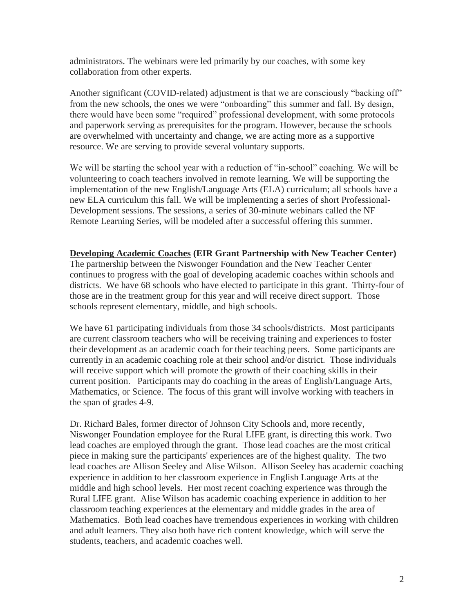administrators. The webinars were led primarily by our coaches, with some key collaboration from other experts.

Another significant (COVID-related) adjustment is that we are consciously "backing off" from the new schools, the ones we were "onboarding" this summer and fall. By design, there would have been some "required" professional development, with some protocols and paperwork serving as prerequisites for the program. However, because the schools are overwhelmed with uncertainty and change, we are acting more as a supportive resource. We are serving to provide several voluntary supports.

We will be starting the school year with a reduction of "in-school" coaching. We will be volunteering to coach teachers involved in remote learning. We will be supporting the implementation of the new English/Language Arts (ELA) curriculum; all schools have a new ELA curriculum this fall. We will be implementing a series of short Professional-Development sessions. The sessions, a series of 30-minute webinars called the NF Remote Learning Series, will be modeled after a successful offering this summer.

#### **Developing Academic Coaches (EIR Grant Partnership with New Teacher Center)**

The partnership between the Niswonger Foundation and the New Teacher Center continues to progress with the goal of developing academic coaches within schools and districts. We have 68 schools who have elected to participate in this grant. Thirty-four of those are in the treatment group for this year and will receive direct support. Those schools represent elementary, middle, and high schools.

We have 61 participating individuals from those 34 schools/districts. Most participants are current classroom teachers who will be receiving training and experiences to foster their development as an academic coach for their teaching peers. Some participants are currently in an academic coaching role at their school and/or district. Those individuals will receive support which will promote the growth of their coaching skills in their current position. Participants may do coaching in the areas of English/Language Arts, Mathematics, or Science. The focus of this grant will involve working with teachers in the span of grades 4-9.

Dr. Richard Bales, former director of Johnson City Schools and, more recently, Niswonger Foundation employee for the Rural LIFE grant, is directing this work. Two lead coaches are employed through the grant. Those lead coaches are the most critical piece in making sure the participants' experiences are of the highest quality. The two lead coaches are Allison Seeley and Alise Wilson. Allison Seeley has academic coaching experience in addition to her classroom experience in English Language Arts at the middle and high school levels. Her most recent coaching experience was through the Rural LIFE grant. Alise Wilson has academic coaching experience in addition to her classroom teaching experiences at the elementary and middle grades in the area of Mathematics. Both lead coaches have tremendous experiences in working with children and adult learners. They also both have rich content knowledge, which will serve the students, teachers, and academic coaches well.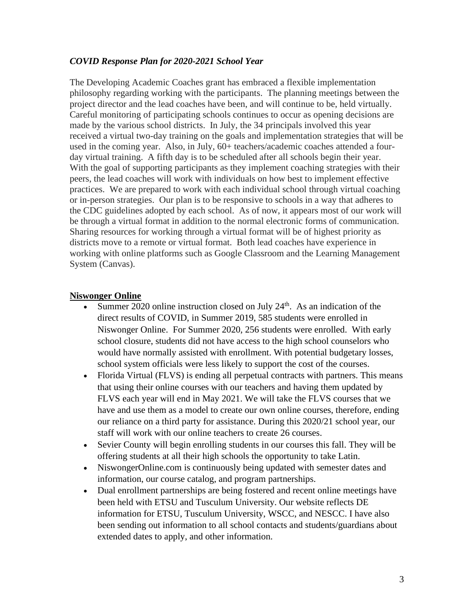#### *COVID Response Plan for 2020-2021 School Year*

The Developing Academic Coaches grant has embraced a flexible implementation philosophy regarding working with the participants. The planning meetings between the project director and the lead coaches have been, and will continue to be, held virtually. Careful monitoring of participating schools continues to occur as opening decisions are made by the various school districts. In July, the 34 principals involved this year received a virtual two-day training on the goals and implementation strategies that will be used in the coming year. Also, in July, 60+ teachers/academic coaches attended a fourday virtual training. A fifth day is to be scheduled after all schools begin their year. With the goal of supporting participants as they implement coaching strategies with their peers, the lead coaches will work with individuals on how best to implement effective practices. We are prepared to work with each individual school through virtual coaching or in-person strategies. Our plan is to be responsive to schools in a way that adheres to the CDC guidelines adopted by each school. As of now, it appears most of our work will be through a virtual format in addition to the normal electronic forms of communication. Sharing resources for working through a virtual format will be of highest priority as districts move to a remote or virtual format. Both lead coaches have experience in working with online platforms such as Google Classroom and the Learning Management System (Canvas).

#### **Niswonger Online**

- Summer  $2020$  online instruction closed on July  $24<sup>th</sup>$ . As an indication of the direct results of COVID, in Summer 2019, 585 students were enrolled in Niswonger Online. For Summer 2020, 256 students were enrolled. With early school closure, students did not have access to the high school counselors who would have normally assisted with enrollment. With potential budgetary losses, school system officials were less likely to support the cost of the courses.
- Florida Virtual (FLVS) is ending all perpetual contracts with partners. This means that using their online courses with our teachers and having them updated by FLVS each year will end in May 2021. We will take the FLVS courses that we have and use them as a model to create our own online courses, therefore, ending our reliance on a third party for assistance. During this 2020/21 school year, our staff will work with our online teachers to create 26 courses.
- Sevier County will begin enrolling students in our courses this fall. They will be offering students at all their high schools the opportunity to take Latin.
- NiswongerOnline.com is continuously being updated with semester dates and information, our course catalog, and program partnerships.
- Dual enrollment partnerships are being fostered and recent online meetings have been held with ETSU and Tusculum University. Our website reflects DE information for ETSU, Tusculum University, WSCC, and NESCC. I have also been sending out information to all school contacts and students/guardians about extended dates to apply, and other information.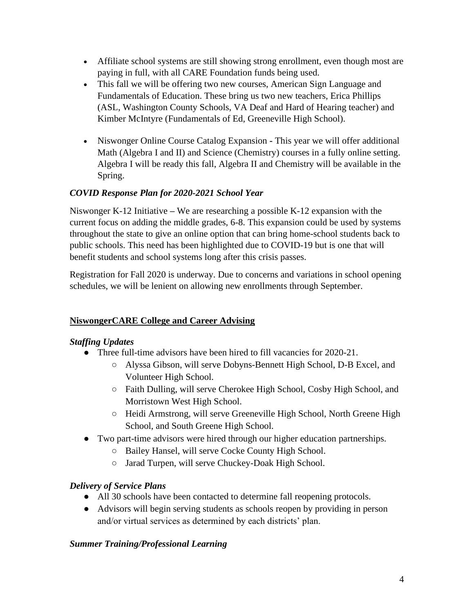- Affiliate school systems are still showing strong enrollment, even though most are paying in full, with all CARE Foundation funds being used.
- This fall we will be offering two new courses, American Sign Language and Fundamentals of Education. These bring us two new teachers, Erica Phillips (ASL, Washington County Schools, VA Deaf and Hard of Hearing teacher) and Kimber McIntyre (Fundamentals of Ed, Greeneville High School).
- Niswonger Online Course Catalog Expansion **-** This year we will offer additional Math (Algebra I and II) and Science (Chemistry) courses in a fully online setting. Algebra I will be ready this fall, Algebra II and Chemistry will be available in the Spring.

# *COVID Response Plan for 2020-2021 School Year*

Niswonger K-12 Initiative **–** We are researching a possible K-12 expansion with the current focus on adding the middle grades, 6-8. This expansion could be used by systems throughout the state to give an online option that can bring home-school students back to public schools. This need has been highlighted due to COVID-19 but is one that will benefit students and school systems long after this crisis passes.

Registration for Fall 2020 is underway. Due to concerns and variations in school opening schedules, we will be lenient on allowing new enrollments through September.

# **NiswongerCARE College and Career Advising**

# *Staffing Updates*

- Three full-time advisors have been hired to fill vacancies for 2020-21.
	- Alyssa Gibson, will serve Dobyns-Bennett High School, D-B Excel, and Volunteer High School.
	- Faith Dulling, will serve Cherokee High School, Cosby High School, and Morristown West High School.
	- Heidi Armstrong, will serve Greeneville High School, North Greene High School, and South Greene High School.
- Two part-time advisors were hired through our higher education partnerships.
	- Bailey Hansel, will serve Cocke County High School.
	- Jarad Turpen, will serve Chuckey-Doak High School.

# *Delivery of Service Plans*

- All 30 schools have been contacted to determine fall reopening protocols.
- Advisors will begin serving students as schools reopen by providing in person and/or virtual services as determined by each districts' plan.

# *Summer Training/Professional Learning*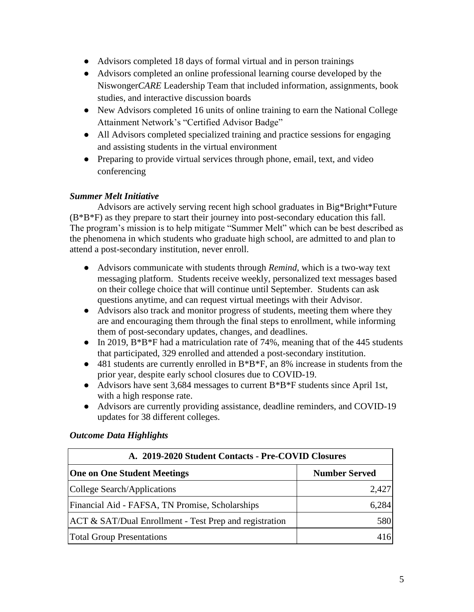- Advisors completed 18 days of formal virtual and in person trainings
- Advisors completed an online professional learning course developed by the Niswonger*CARE* Leadership Team that included information, assignments, book studies, and interactive discussion boards
- New Advisors completed 16 units of online training to earn the National College Attainment Network's "Certified Advisor Badge"
- All Advisors completed specialized training and practice sessions for engaging and assisting students in the virtual environment
- Preparing to provide virtual services through phone, email, text, and video conferencing

## *Summer Melt Initiative*

Advisors are actively serving recent high school graduates in Big\*Bright\*Future (B\*B\*F) as they prepare to start their journey into post-secondary education this fall. The program's mission is to help mitigate "Summer Melt" which can be best described as the phenomena in which students who graduate high school, are admitted to and plan to attend a post-secondary institution, never enroll.

- Advisors communicate with students through *Remind*, which is a two-way text messaging platform. Students receive weekly, personalized text messages based on their college choice that will continue until September. Students can ask questions anytime, and can request virtual meetings with their Advisor.
- Advisors also track and monitor progress of students, meeting them where they are and encouraging them through the final steps to enrollment, while informing them of post-secondary updates, changes, and deadlines.
- In 2019,  $B^*B^*F$  had a matriculation rate of 74%, meaning that of the 445 students that participated, 329 enrolled and attended a post-secondary institution.
- 481 students are currently enrolled in B\*B\*F, an 8% increase in students from the prior year, despite early school closures due to COVID-19.
- Advisors have sent 3,684 messages to current  $B*B*F$  students since April 1st, with a high response rate.
- Advisors are currently providing assistance, deadline reminders, and COVID-19 updates for 38 different colleges.

| A. 2019-2020 Student Contacts - Pre-COVID Closures                |                      |  |  |
|-------------------------------------------------------------------|----------------------|--|--|
| <b>One on One Student Meetings</b>                                | <b>Number Served</b> |  |  |
| College Search/Applications                                       | 2,427                |  |  |
| Financial Aid - FAFSA, TN Promise, Scholarships                   | 6.284                |  |  |
| <b>ACT &amp; SAT/Dual Enrollment - Test Prep and registration</b> | 580                  |  |  |
| <b>Total Group Presentations</b>                                  |                      |  |  |

# *Outcome Data Highlights*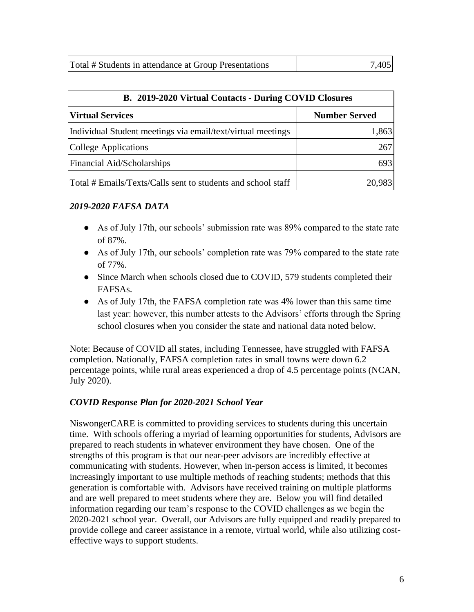| Total # Students in attendance at Group Presentations | 7,405 |
|-------------------------------------------------------|-------|
|                                                       |       |

| B. 2019-2020 Virtual Contacts - During COVID Closures        |                      |  |
|--------------------------------------------------------------|----------------------|--|
| <b>Virtual Services</b>                                      | <b>Number Served</b> |  |
| Individual Student meetings via email/text/virtual meetings  | 1,863                |  |
| College Applications                                         | 267                  |  |
| Financial Aid/Scholarships                                   | 693                  |  |
| Total # Emails/Texts/Calls sent to students and school staff | 20,983               |  |

## *2019-2020 FAFSA DATA*

- As of July 17th, our schools' submission rate was 89% compared to the state rate of 87%.
- As of July 17th, our schools' completion rate was 79% compared to the state rate of 77%.
- Since March when schools closed due to COVID, 579 students completed their FAFSAs.
- As of July 17th, the FAFSA completion rate was 4% lower than this same time last year: however, this number attests to the Advisors' efforts through the Spring school closures when you consider the state and national data noted below.

Note: Because of COVID all states, including Tennessee, have struggled with FAFSA completion. Nationally, FAFSA completion rates in small towns were down 6.2 percentage points, while rural areas experienced a drop of 4.5 percentage points (NCAN, July 2020).

### *COVID Response Plan for 2020-2021 School Year*

NiswongerCARE is committed to providing services to students during this uncertain time. With schools offering a myriad of learning opportunities for students, Advisors are prepared to reach students in whatever environment they have chosen. One of the strengths of this program is that our near-peer advisors are incredibly effective at communicating with students. However, when in-person access is limited, it becomes increasingly important to use multiple methods of reaching students; methods that this generation is comfortable with. Advisors have received training on multiple platforms and are well prepared to meet students where they are. Below you will find detailed information regarding our team's response to the COVID challenges as we begin the 2020-2021 school year. Overall, our Advisors are fully equipped and readily prepared to provide college and career assistance in a remote, virtual world, while also utilizing costeffective ways to support students.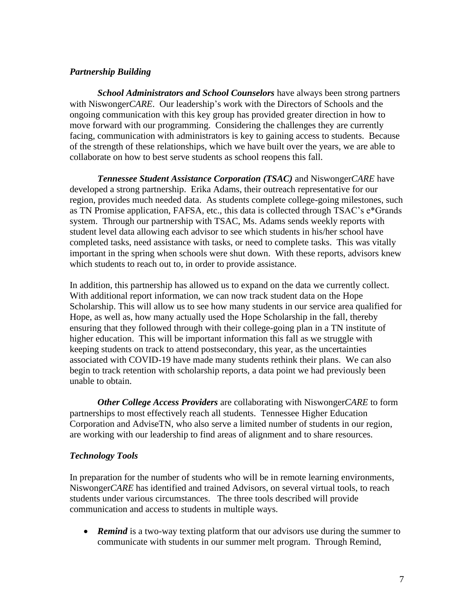#### *Partnership Building*

*School Administrators and School Counselors* have always been strong partners with Niswonger*CARE*. Our leadership's work with the Directors of Schools and the ongoing communication with this key group has provided greater direction in how to move forward with our programming. Considering the challenges they are currently facing, communication with administrators is key to gaining access to students. Because of the strength of these relationships, which we have built over the years, we are able to collaborate on how to best serve students as school reopens this fall.

*Tennessee Student Assistance Corporation (TSAC)* and Niswonger*CARE* have developed a strong partnership. Erika Adams, their outreach representative for our region, provides much needed data. As students complete college-going milestones, such as TN Promise application, FAFSA, etc., this data is collected through TSAC's e\*Grands system. Through our partnership with TSAC, Ms. Adams sends weekly reports with student level data allowing each advisor to see which students in his/her school have completed tasks, need assistance with tasks, or need to complete tasks. This was vitally important in the spring when schools were shut down. With these reports, advisors knew which students to reach out to, in order to provide assistance.

In addition, this partnership has allowed us to expand on the data we currently collect. With additional report information, we can now track student data on the Hope Scholarship. This will allow us to see how many students in our service area qualified for Hope, as well as, how many actually used the Hope Scholarship in the fall, thereby ensuring that they followed through with their college-going plan in a TN institute of higher education. This will be important information this fall as we struggle with keeping students on track to attend postsecondary, this year, as the uncertainties associated with COVID-19 have made many students rethink their plans. We can also begin to track retention with scholarship reports, a data point we had previously been unable to obtain.

*Other College Access Providers* are collaborating with Niswonger*CARE* to form partnerships to most effectively reach all students. Tennessee Higher Education Corporation and AdviseTN, who also serve a limited number of students in our region, are working with our leadership to find areas of alignment and to share resources.

### *Technology Tools*

In preparation for the number of students who will be in remote learning environments, Niswonger*CARE* has identified and trained Advisors, on several virtual tools, to reach students under various circumstances. The three tools described will provide communication and access to students in multiple ways.

• **Remind** is a two-way texting platform that our advisors use during the summer to communicate with students in our summer melt program. Through Remind,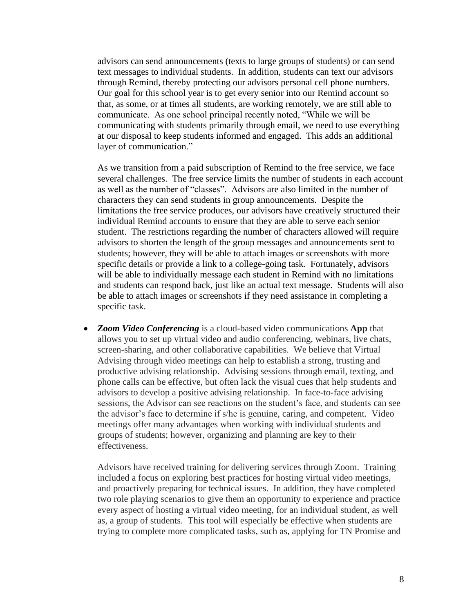advisors can send announcements (texts to large groups of students) or can send text messages to individual students. In addition, students can text our advisors through Remind, thereby protecting our advisors personal cell phone numbers. Our goal for this school year is to get every senior into our Remind account so that, as some, or at times all students, are working remotely, we are still able to communicate. As one school principal recently noted, "While we will be communicating with students primarily through email, we need to use everything at our disposal to keep students informed and engaged. This adds an additional layer of communication."

As we transition from a paid subscription of Remind to the free service, we face several challenges. The free service limits the number of students in each account as well as the number of "classes". Advisors are also limited in the number of characters they can send students in group announcements. Despite the limitations the free service produces, our advisors have creatively structured their individual Remind accounts to ensure that they are able to serve each senior student. The restrictions regarding the number of characters allowed will require advisors to shorten the length of the group messages and announcements sent to students; however, they will be able to attach images or screenshots with more specific details or provide a link to a college-going task. Fortunately, advisors will be able to individually message each student in Remind with no limitations and students can respond back, just like an actual text message. Students will also be able to attach images or screenshots if they need assistance in completing a specific task.

• *Zoom Video Conferencing* is a cloud-based video communications **App** that allows you to set up virtual video and audio conferencing, webinars, live chats, screen-sharing, and other collaborative capabilities. We believe that Virtual Advising through video meetings can help to establish a strong, trusting and productive advising relationship. Advising sessions through email, texting, and phone calls can be effective, but often lack the visual cues that help students and advisors to develop a positive advising relationship. In face-to-face advising sessions, the Advisor can see reactions on the student's face, and students can see the advisor's face to determine if s/he is genuine, caring, and competent. Video meetings offer many advantages when working with individual students and groups of students; however, organizing and planning are key to their effectiveness.

Advisors have received training for delivering services through Zoom. Training included a focus on exploring best practices for hosting virtual video meetings, and proactively preparing for technical issues. In addition, they have completed two role playing scenarios to give them an opportunity to experience and practice every aspect of hosting a virtual video meeting, for an individual student, as well as, a group of students. This tool will especially be effective when students are trying to complete more complicated tasks, such as, applying for TN Promise and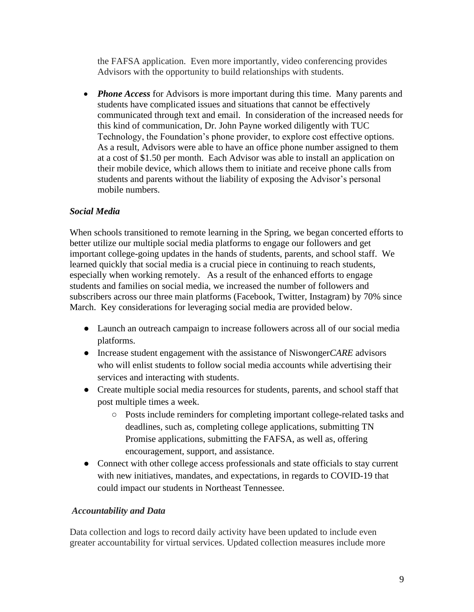the FAFSA application. Even more importantly, video conferencing provides Advisors with the opportunity to build relationships with students.

• *Phone Access* for Advisors is more important during this time. Many parents and students have complicated issues and situations that cannot be effectively communicated through text and email. In consideration of the increased needs for this kind of communication, Dr. John Payne worked diligently with TUC Technology, the Foundation's phone provider, to explore cost effective options. As a result, Advisors were able to have an office phone number assigned to them at a cost of \$1.50 per month. Each Advisor was able to install an application on their mobile device, which allows them to initiate and receive phone calls from students and parents without the liability of exposing the Advisor's personal mobile numbers.

## *Social Media*

When schools transitioned to remote learning in the Spring, we began concerted efforts to better utilize our multiple social media platforms to engage our followers and get important college-going updates in the hands of students, parents, and school staff. We learned quickly that social media is a crucial piece in continuing to reach students, especially when working remotely. As a result of the enhanced efforts to engage students and families on social media, we increased the number of followers and subscribers across our three main platforms (Facebook, Twitter, Instagram) by 70% since March. Key considerations for leveraging social media are provided below.

- Launch an outreach campaign to increase followers across all of our social media platforms.
- Increase student engagement with the assistance of Niswonger*CARE* advisors who will enlist students to follow social media accounts while advertising their services and interacting with students.
- Create multiple social media resources for students, parents, and school staff that post multiple times a week.
	- Posts include reminders for completing important college-related tasks and deadlines, such as, completing college applications, submitting TN Promise applications, submitting the FAFSA, as well as, offering encouragement, support, and assistance.
- Connect with other college access professionals and state officials to stay current with new initiatives, mandates, and expectations, in regards to COVID-19 that could impact our students in Northeast Tennessee.

#### *Accountability and Data*

Data collection and logs to record daily activity have been updated to include even greater accountability for virtual services. Updated collection measures include more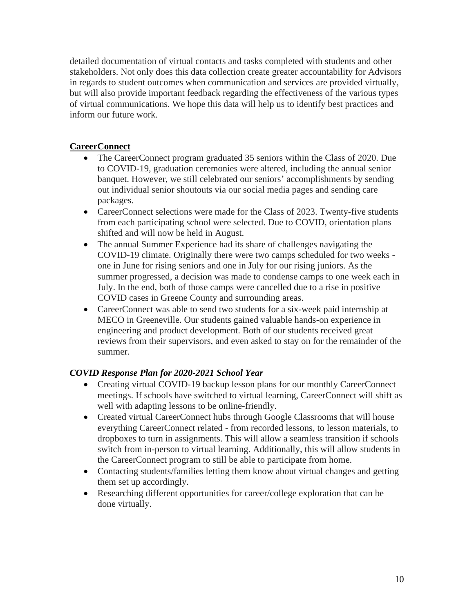detailed documentation of virtual contacts and tasks completed with students and other stakeholders. Not only does this data collection create greater accountability for Advisors in regards to student outcomes when communication and services are provided virtually, but will also provide important feedback regarding the effectiveness of the various types of virtual communications. We hope this data will help us to identify best practices and inform our future work.

## **CareerConnect**

- The CareerConnect program graduated 35 seniors within the Class of 2020. Due to COVID-19, graduation ceremonies were altered, including the annual senior banquet. However, we still celebrated our seniors' accomplishments by sending out individual senior shoutouts via our social media pages and sending care packages.
- CareerConnect selections were made for the Class of 2023. Twenty-five students from each participating school were selected. Due to COVID, orientation plans shifted and will now be held in August.
- The annual Summer Experience had its share of challenges navigating the COVID-19 climate. Originally there were two camps scheduled for two weeks one in June for rising seniors and one in July for our rising juniors. As the summer progressed, a decision was made to condense camps to one week each in July. In the end, both of those camps were cancelled due to a rise in positive COVID cases in Greene County and surrounding areas.
- CareerConnect was able to send two students for a six-week paid internship at MECO in Greeneville. Our students gained valuable hands-on experience in engineering and product development. Both of our students received great reviews from their supervisors, and even asked to stay on for the remainder of the summer.

### *COVID Response Plan for 2020-2021 School Year*

- Creating virtual COVID-19 backup lesson plans for our monthly CareerConnect meetings. If schools have switched to virtual learning, CareerConnect will shift as well with adapting lessons to be online-friendly.
- Created virtual CareerConnect hubs through Google Classrooms that will house everything CareerConnect related - from recorded lessons, to lesson materials, to dropboxes to turn in assignments. This will allow a seamless transition if schools switch from in-person to virtual learning. Additionally, this will allow students in the CareerConnect program to still be able to participate from home.
- Contacting students/families letting them know about virtual changes and getting them set up accordingly.
- Researching different opportunities for career/college exploration that can be done virtually.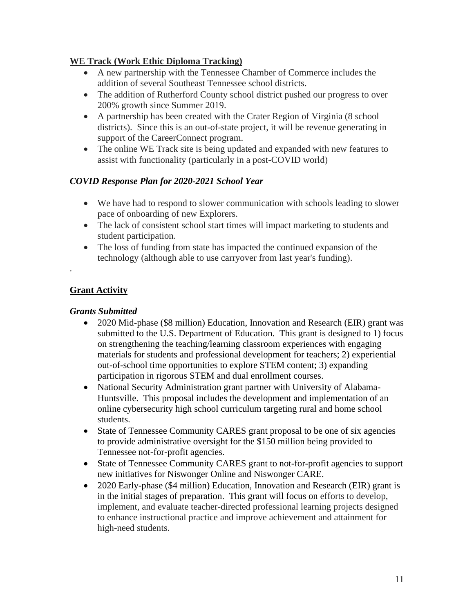## **WE Track (Work Ethic Diploma Tracking)**

- A new partnership with the Tennessee Chamber of Commerce includes the addition of several Southeast Tennessee school districts.
- The addition of Rutherford County school district pushed our progress to over 200% growth since Summer 2019.
- A partnership has been created with the Crater Region of Virginia (8 school districts). Since this is an out-of-state project, it will be revenue generating in support of the CareerConnect program.
- The online WE Track site is being updated and expanded with new features to assist with functionality (particularly in a post-COVID world)

### *COVID Response Plan for 2020-2021 School Year*

- We have had to respond to slower communication with schools leading to slower pace of onboarding of new Explorers.
- The lack of consistent school start times will impact marketing to students and student participation.
- The loss of funding from state has impacted the continued expansion of the technology (although able to use carryover from last year's funding).

## **Grant Activity**

.

### *Grants Submitted*

- 2020 Mid-phase (\$8 million) Education, Innovation and Research (EIR) grant was submitted to the U.S. Department of Education. This grant is designed to 1) focus on strengthening the teaching/learning classroom experiences with engaging materials for students and professional development for teachers; 2) experiential out-of-school time opportunities to explore STEM content; 3) expanding participation in rigorous STEM and dual enrollment courses.
- National Security Administration grant partner with University of Alabama-Huntsville. This proposal includes the development and implementation of an online cybersecurity high school curriculum targeting rural and home school students.
- State of Tennessee Community CARES grant proposal to be one of six agencies to provide administrative oversight for the \$150 million being provided to Tennessee not-for-profit agencies.
- State of Tennessee Community CARES grant to not-for-profit agencies to support new initiatives for Niswonger Online and Niswonger CARE.
- 2020 Early-phase (\$4 million) Education, Innovation and Research (EIR) grant is in the initial stages of preparation. This grant will focus on efforts to develop, implement, and evaluate teacher-directed professional learning projects designed to enhance instructional practice and improve achievement and attainment for high-need students.